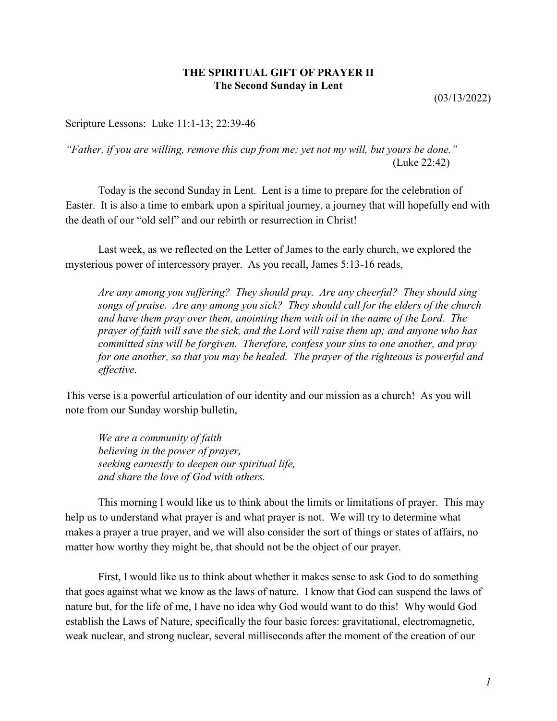## **THE SPIRITUAL GIFT OF PRAYER II The Second Sunday in Lent**

(03/13/2022)

Scripture Lessons: Luke 11:1-13; 22:39-46

*"Father, if you are willing, remove this cup from me; yet not my will, but yours be done."* (Luke 22:42)

Today is the second Sunday in Lent. Lent is a time to prepare for the celebration of Easter. It is also a time to embark upon a spiritual journey, a journey that will hopefully end with the death of our "old self" and our rebirth or resurrection in Christ!

Last week, as we reflected on the Letter of James to the early church, we explored the mysterious power of intercessory prayer. As you recall, James 5:13-16 reads,

*Are any among you suffering? They should pray. Are any cheerful? They should sing songs of praise. Are any among you sick? They should call for the elders of the church and have them pray over them, anointing them with oil in the name of the Lord. The prayer of faith will save the sick, and the Lord will raise them up; and anyone who has committed sins will be forgiven. Therefore, confess your sins to one another, and pray for one another, so that you may be healed. The prayer of the righteous is powerful and effective.*

This verse is a powerful articulation of our identity and our mission as a church! As you will note from our Sunday worship bulletin,

*We are a community of faith believing in the power of prayer, seeking earnestly to deepen our spiritual life, and share the love of God with others.*

This morning I would like us to think about the limits or limitations of prayer. This may help us to understand what prayer is and what prayer is not. We will try to determine what makes a prayer a true prayer, and we will also consider the sort of things or states of affairs, no matter how worthy they might be, that should not be the object of our prayer.

First, I would like us to think about whether it makes sense to ask God to do something that goes against what we know as the laws of nature. I know that God can suspend the laws of nature but, for the life of me, I have no idea why God would want to do this! Why would God establish the Laws of Nature, specifically the four basic forces: gravitational, electromagnetic, weak nuclear, and strong nuclear, several milliseconds after the moment of the creation of our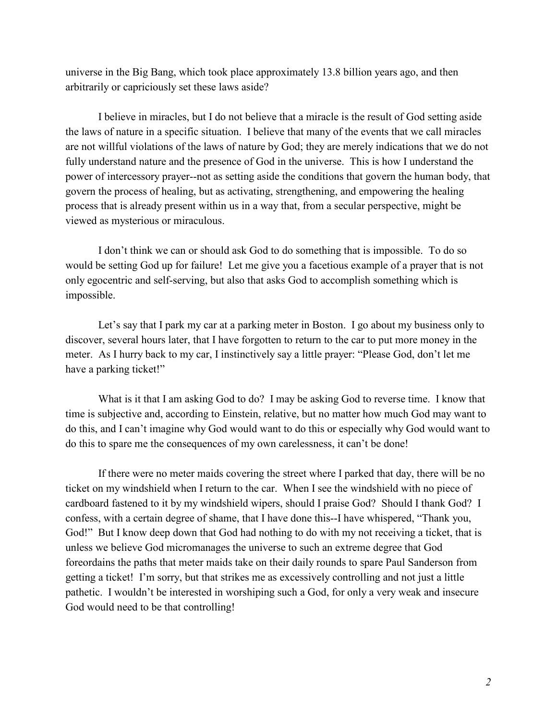universe in the Big Bang, which took place approximately 13.8 billion years ago, and then arbitrarily or capriciously set these laws aside?

I believe in miracles, but I do not believe that a miracle is the result of God setting aside the laws of nature in a specific situation. I believe that many of the events that we call miracles are not willful violations of the laws of nature by God; they are merely indications that we do not fully understand nature and the presence of God in the universe. This is how I understand the power of intercessory prayer--not as setting aside the conditions that govern the human body, that govern the process of healing, but as activating, strengthening, and empowering the healing process that is already present within us in a way that, from a secular perspective, might be viewed as mysterious or miraculous.

I don't think we can or should ask God to do something that is impossible. To do so would be setting God up for failure! Let me give you a facetious example of a prayer that is not only egocentric and self-serving, but also that asks God to accomplish something which is impossible.

Let's say that I park my car at a parking meter in Boston. I go about my business only to discover, several hours later, that I have forgotten to return to the car to put more money in the meter. As I hurry back to my car, I instinctively say a little prayer: "Please God, don't let me have a parking ticket!"

What is it that I am asking God to do? I may be asking God to reverse time. I know that time is subjective and, according to Einstein, relative, but no matter how much God may want to do this, and I can't imagine why God would want to do this or especially why God would want to do this to spare me the consequences of my own carelessness, it can't be done!

If there were no meter maids covering the street where I parked that day, there will be no ticket on my windshield when I return to the car. When I see the windshield with no piece of cardboard fastened to it by my windshield wipers, should I praise God? Should I thank God? I confess, with a certain degree of shame, that I have done this--I have whispered, "Thank you, God!" But I know deep down that God had nothing to do with my not receiving a ticket, that is unless we believe God micromanages the universe to such an extreme degree that God foreordains the paths that meter maids take on their daily rounds to spare Paul Sanderson from getting a ticket! I'm sorry, but that strikes me as excessively controlling and not just a little pathetic. I wouldn't be interested in worshiping such a God, for only a very weak and insecure God would need to be that controlling!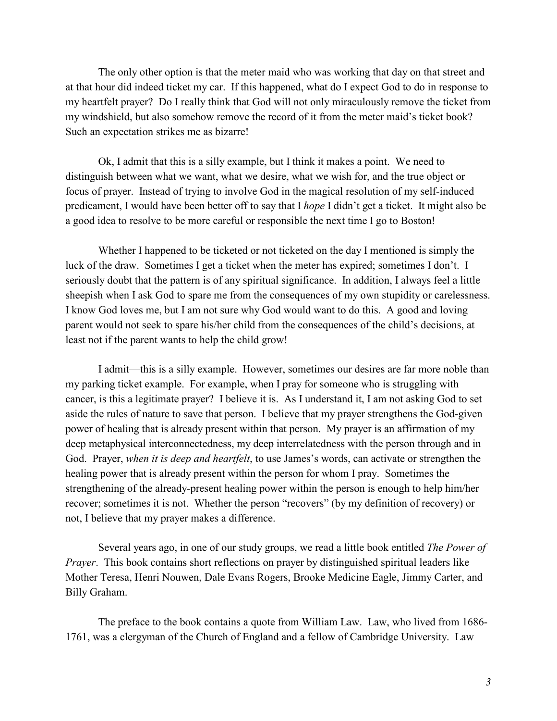The only other option is that the meter maid who was working that day on that street and at that hour did indeed ticket my car. If this happened, what do I expect God to do in response to my heartfelt prayer? Do I really think that God will not only miraculously remove the ticket from my windshield, but also somehow remove the record of it from the meter maid's ticket book? Such an expectation strikes me as bizarre!

Ok, I admit that this is a silly example, but I think it makes a point. We need to distinguish between what we want, what we desire, what we wish for, and the true object or focus of prayer. Instead of trying to involve God in the magical resolution of my self-induced predicament, I would have been better off to say that I *hope* I didn't get a ticket. It might also be a good idea to resolve to be more careful or responsible the next time I go to Boston!

Whether I happened to be ticketed or not ticketed on the day I mentioned is simply the luck of the draw. Sometimes I get a ticket when the meter has expired; sometimes I don't. I seriously doubt that the pattern is of any spiritual significance. In addition, I always feel a little sheepish when I ask God to spare me from the consequences of my own stupidity or carelessness. I know God loves me, but I am not sure why God would want to do this. A good and loving parent would not seek to spare his/her child from the consequences of the child's decisions, at least not if the parent wants to help the child grow!

I admit—this is a silly example. However, sometimes our desires are far more noble than my parking ticket example. For example, when I pray for someone who is struggling with cancer, is this a legitimate prayer? I believe it is. As I understand it, I am not asking God to set aside the rules of nature to save that person. I believe that my prayer strengthens the God-given power of healing that is already present within that person. My prayer is an affirmation of my deep metaphysical interconnectedness, my deep interrelatedness with the person through and in God. Prayer, *when it is deep and heartfelt*, to use James's words, can activate or strengthen the healing power that is already present within the person for whom I pray. Sometimes the strengthening of the already-present healing power within the person is enough to help him/her recover; sometimes it is not. Whether the person "recovers" (by my definition of recovery) or not, I believe that my prayer makes a difference.

Several years ago, in one of our study groups, we read a little book entitled *The Power of Prayer*. This book contains short reflections on prayer by distinguished spiritual leaders like Mother Teresa, Henri Nouwen, Dale Evans Rogers, Brooke Medicine Eagle, Jimmy Carter, and Billy Graham.

The preface to the book contains a quote from William Law. Law, who lived from 1686- 1761, was a clergyman of the Church of England and a fellow of Cambridge University. Law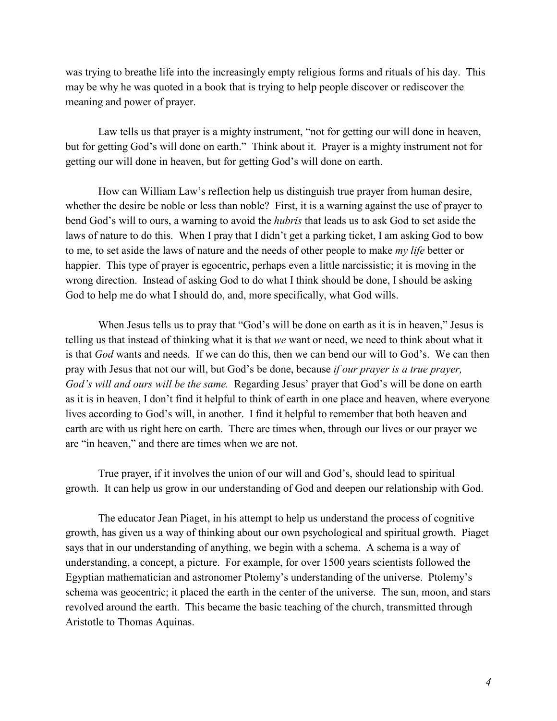was trying to breathe life into the increasingly empty religious forms and rituals of his day. This may be why he was quoted in a book that is trying to help people discover or rediscover the meaning and power of prayer.

Law tells us that prayer is a mighty instrument, "not for getting our will done in heaven, but for getting God's will done on earth." Think about it. Prayer is a mighty instrument not for getting our will done in heaven, but for getting God's will done on earth.

How can William Law's reflection help us distinguish true prayer from human desire, whether the desire be noble or less than noble? First, it is a warning against the use of prayer to bend God's will to ours, a warning to avoid the *hubris* that leads us to ask God to set aside the laws of nature to do this. When I pray that I didn't get a parking ticket, I am asking God to bow to me, to set aside the laws of nature and the needs of other people to make *my life* better or happier. This type of prayer is egocentric, perhaps even a little narcissistic; it is moving in the wrong direction. Instead of asking God to do what I think should be done, I should be asking God to help me do what I should do, and, more specifically, what God wills.

When Jesus tells us to pray that "God's will be done on earth as it is in heaven," Jesus is telling us that instead of thinking what it is that *we* want or need, we need to think about what it is that *God* wants and needs. If we can do this, then we can bend our will to God's. We can then pray with Jesus that not our will, but God's be done, because *if our prayer is a true prayer, God's will and ours will be the same.* Regarding Jesus' prayer that God's will be done on earth as it is in heaven, I don't find it helpful to think of earth in one place and heaven, where everyone lives according to God's will, in another. I find it helpful to remember that both heaven and earth are with us right here on earth. There are times when, through our lives or our prayer we are "in heaven," and there are times when we are not.

True prayer, if it involves the union of our will and God's, should lead to spiritual growth. It can help us grow in our understanding of God and deepen our relationship with God.

The educator Jean Piaget, in his attempt to help us understand the process of cognitive growth, has given us a way of thinking about our own psychological and spiritual growth. Piaget says that in our understanding of anything, we begin with a schema. A schema is a way of understanding, a concept, a picture. For example, for over 1500 years scientists followed the Egyptian mathematician and astronomer Ptolemy's understanding of the universe. Ptolemy's schema was geocentric; it placed the earth in the center of the universe. The sun, moon, and stars revolved around the earth. This became the basic teaching of the church, transmitted through Aristotle to Thomas Aquinas.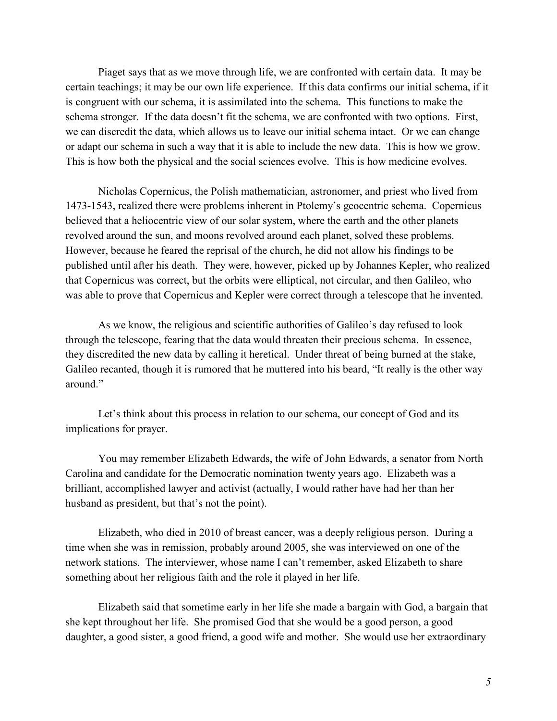Piaget says that as we move through life, we are confronted with certain data. It may be certain teachings; it may be our own life experience. If this data confirms our initial schema, if it is congruent with our schema, it is assimilated into the schema. This functions to make the schema stronger. If the data doesn't fit the schema, we are confronted with two options. First, we can discredit the data, which allows us to leave our initial schema intact. Or we can change or adapt our schema in such a way that it is able to include the new data. This is how we grow. This is how both the physical and the social sciences evolve. This is how medicine evolves.

Nicholas Copernicus, the Polish mathematician, astronomer, and priest who lived from 1473-1543, realized there were problems inherent in Ptolemy's geocentric schema. Copernicus believed that a heliocentric view of our solar system, where the earth and the other planets revolved around the sun, and moons revolved around each planet, solved these problems. However, because he feared the reprisal of the church, he did not allow his findings to be published until after his death. They were, however, picked up by Johannes Kepler, who realized that Copernicus was correct, but the orbits were elliptical, not circular, and then Galileo, who was able to prove that Copernicus and Kepler were correct through a telescope that he invented.

As we know, the religious and scientific authorities of Galileo's day refused to look through the telescope, fearing that the data would threaten their precious schema. In essence, they discredited the new data by calling it heretical. Under threat of being burned at the stake, Galileo recanted, though it is rumored that he muttered into his beard, "It really is the other way around"

Let's think about this process in relation to our schema, our concept of God and its implications for prayer.

You may remember Elizabeth Edwards, the wife of John Edwards, a senator from North Carolina and candidate for the Democratic nomination twenty years ago. Elizabeth was a brilliant, accomplished lawyer and activist (actually, I would rather have had her than her husband as president, but that's not the point).

Elizabeth, who died in 2010 of breast cancer, was a deeply religious person. During a time when she was in remission, probably around 2005, she was interviewed on one of the network stations. The interviewer, whose name I can't remember, asked Elizabeth to share something about her religious faith and the role it played in her life.

Elizabeth said that sometime early in her life she made a bargain with God, a bargain that she kept throughout her life. She promised God that she would be a good person, a good daughter, a good sister, a good friend, a good wife and mother. She would use her extraordinary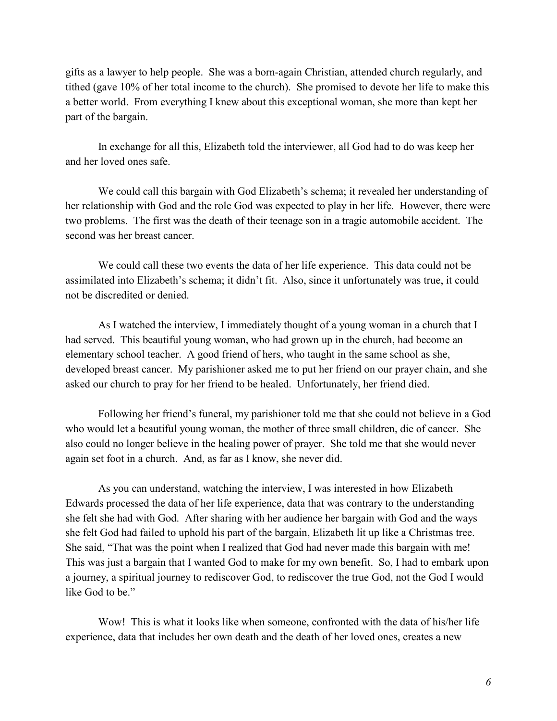gifts as a lawyer to help people. She was a born-again Christian, attended church regularly, and tithed (gave 10% of her total income to the church). She promised to devote her life to make this a better world. From everything I knew about this exceptional woman, she more than kept her part of the bargain.

In exchange for all this, Elizabeth told the interviewer, all God had to do was keep her and her loved ones safe.

We could call this bargain with God Elizabeth's schema; it revealed her understanding of her relationship with God and the role God was expected to play in her life. However, there were two problems. The first was the death of their teenage son in a tragic automobile accident. The second was her breast cancer.

We could call these two events the data of her life experience. This data could not be assimilated into Elizabeth's schema; it didn't fit. Also, since it unfortunately was true, it could not be discredited or denied.

As I watched the interview, I immediately thought of a young woman in a church that I had served. This beautiful young woman, who had grown up in the church, had become an elementary school teacher. A good friend of hers, who taught in the same school as she, developed breast cancer. My parishioner asked me to put her friend on our prayer chain, and she asked our church to pray for her friend to be healed. Unfortunately, her friend died.

Following her friend's funeral, my parishioner told me that she could not believe in a God who would let a beautiful young woman, the mother of three small children, die of cancer. She also could no longer believe in the healing power of prayer. She told me that she would never again set foot in a church. And, as far as I know, she never did.

As you can understand, watching the interview, I was interested in how Elizabeth Edwards processed the data of her life experience, data that was contrary to the understanding she felt she had with God. After sharing with her audience her bargain with God and the ways she felt God had failed to uphold his part of the bargain, Elizabeth lit up like a Christmas tree. She said, "That was the point when I realized that God had never made this bargain with me! This was just a bargain that I wanted God to make for my own benefit. So, I had to embark upon a journey, a spiritual journey to rediscover God, to rediscover the true God, not the God I would like God to be."

Wow! This is what it looks like when someone, confronted with the data of his/her life experience, data that includes her own death and the death of her loved ones, creates a new